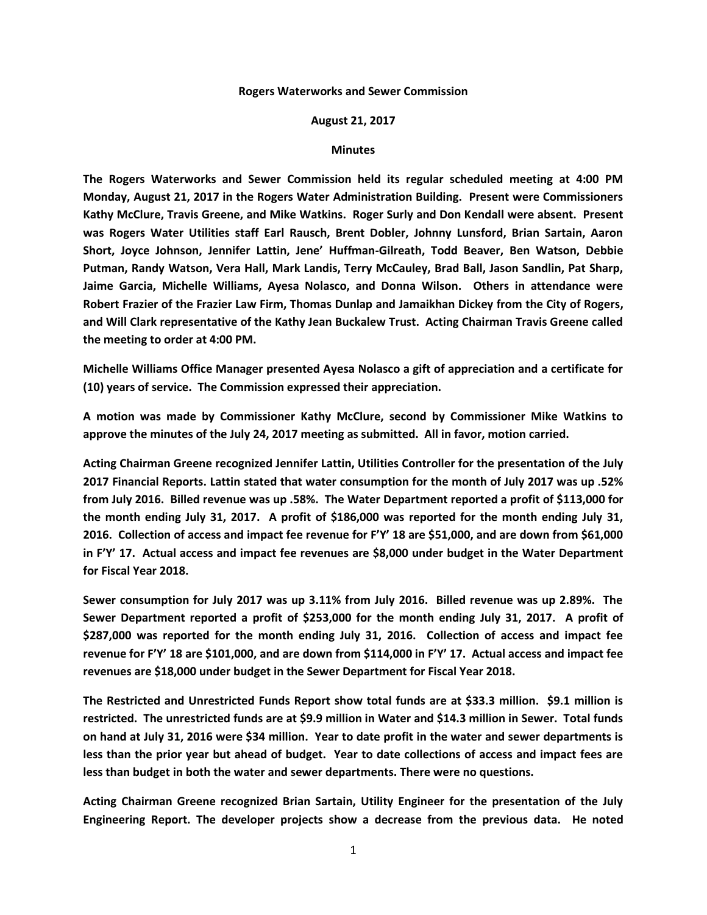## **Rogers Waterworks and Sewer Commission**

## **August 21, 2017**

## **Minutes**

**The Rogers Waterworks and Sewer Commission held its regular scheduled meeting at 4:00 PM Monday, August 21, 2017 in the Rogers Water Administration Building. Present were Commissioners Kathy McClure, Travis Greene, and Mike Watkins. Roger Surly and Don Kendall were absent. Present was Rogers Water Utilities staff Earl Rausch, Brent Dobler, Johnny Lunsford, Brian Sartain, Aaron Short, Joyce Johnson, Jennifer Lattin, Jene' Huffman-Gilreath, Todd Beaver, Ben Watson, Debbie Putman, Randy Watson, Vera Hall, Mark Landis, Terry McCauley, Brad Ball, Jason Sandlin, Pat Sharp, Jaime Garcia, Michelle Williams, Ayesa Nolasco, and Donna Wilson. Others in attendance were Robert Frazier of the Frazier Law Firm, Thomas Dunlap and Jamaikhan Dickey from the City of Rogers, and Will Clark representative of the Kathy Jean Buckalew Trust. Acting Chairman Travis Greene called the meeting to order at 4:00 PM.**

**Michelle Williams Office Manager presented Ayesa Nolasco a gift of appreciation and a certificate for (10) years of service. The Commission expressed their appreciation.**

**A motion was made by Commissioner Kathy McClure, second by Commissioner Mike Watkins to approve the minutes of the July 24, 2017 meeting as submitted. All in favor, motion carried.**

**Acting Chairman Greene recognized Jennifer Lattin, Utilities Controller for the presentation of the July 2017 Financial Reports. Lattin stated that water consumption for the month of July 2017 was up .52% from July 2016. Billed revenue was up .58%. The Water Department reported a profit of \$113,000 for the month ending July 31, 2017. A profit of \$186,000 was reported for the month ending July 31, 2016. Collection of access and impact fee revenue for F'Y' 18 are \$51,000, and are down from \$61,000 in F'Y' 17. Actual access and impact fee revenues are \$8,000 under budget in the Water Department for Fiscal Year 2018.**

**Sewer consumption for July 2017 was up 3.11% from July 2016. Billed revenue was up 2.89%. The Sewer Department reported a profit of \$253,000 for the month ending July 31, 2017. A profit of \$287,000 was reported for the month ending July 31, 2016. Collection of access and impact fee revenue for F'Y' 18 are \$101,000, and are down from \$114,000 in F'Y' 17. Actual access and impact fee revenues are \$18,000 under budget in the Sewer Department for Fiscal Year 2018.**

**The Restricted and Unrestricted Funds Report show total funds are at \$33.3 million. \$9.1 million is restricted. The unrestricted funds are at \$9.9 million in Water and \$14.3 million in Sewer. Total funds on hand at July 31, 2016 were \$34 million. Year to date profit in the water and sewer departments is less than the prior year but ahead of budget. Year to date collections of access and impact fees are less than budget in both the water and sewer departments. There were no questions.**

**Acting Chairman Greene recognized Brian Sartain, Utility Engineer for the presentation of the July Engineering Report. The developer projects show a decrease from the previous data. He noted**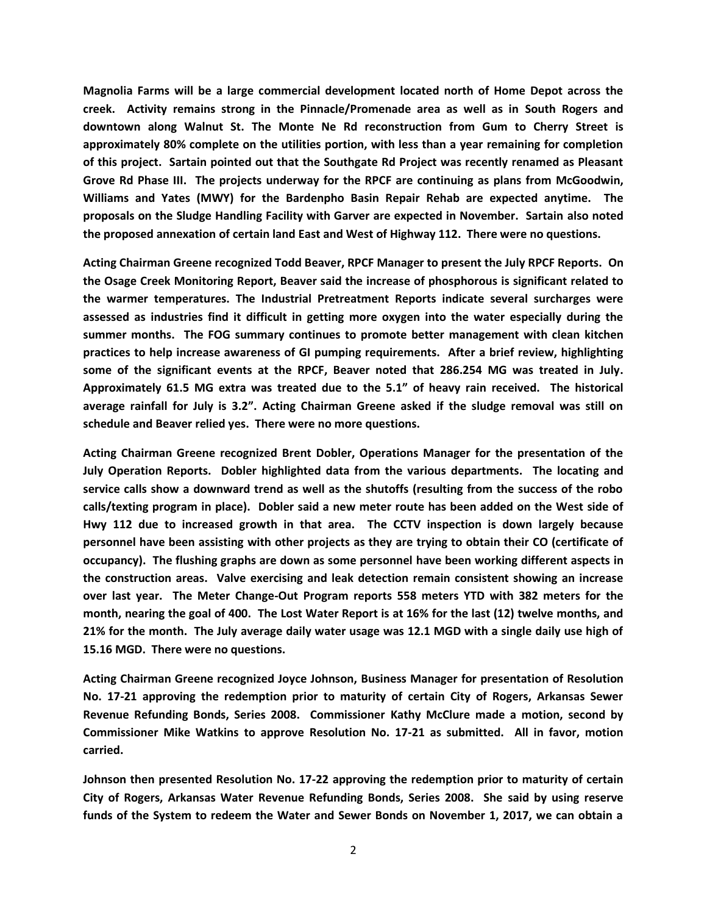**Magnolia Farms will be a large commercial development located north of Home Depot across the creek. Activity remains strong in the Pinnacle/Promenade area as well as in South Rogers and downtown along Walnut St. The Monte Ne Rd reconstruction from Gum to Cherry Street is approximately 80% complete on the utilities portion, with less than a year remaining for completion of this project. Sartain pointed out that the Southgate Rd Project was recently renamed as Pleasant Grove Rd Phase III. The projects underway for the RPCF are continuing as plans from McGoodwin, Williams and Yates (MWY) for the Bardenpho Basin Repair Rehab are expected anytime. The proposals on the Sludge Handling Facility with Garver are expected in November. Sartain also noted the proposed annexation of certain land East and West of Highway 112. There were no questions.**

**Acting Chairman Greene recognized Todd Beaver, RPCF Manager to present the July RPCF Reports. On the Osage Creek Monitoring Report, Beaver said the increase of phosphorous is significant related to the warmer temperatures. The Industrial Pretreatment Reports indicate several surcharges were assessed as industries find it difficult in getting more oxygen into the water especially during the summer months. The FOG summary continues to promote better management with clean kitchen practices to help increase awareness of GI pumping requirements. After a brief review, highlighting some of the significant events at the RPCF, Beaver noted that 286.254 MG was treated in July. Approximately 61.5 MG extra was treated due to the 5.1" of heavy rain received. The historical average rainfall for July is 3.2". Acting Chairman Greene asked if the sludge removal was still on schedule and Beaver relied yes. There were no more questions.**

**Acting Chairman Greene recognized Brent Dobler, Operations Manager for the presentation of the July Operation Reports. Dobler highlighted data from the various departments. The locating and service calls show a downward trend as well as the shutoffs (resulting from the success of the robo calls/texting program in place). Dobler said a new meter route has been added on the West side of Hwy 112 due to increased growth in that area. The CCTV inspection is down largely because personnel have been assisting with other projects as they are trying to obtain their CO (certificate of occupancy). The flushing graphs are down as some personnel have been working different aspects in the construction areas. Valve exercising and leak detection remain consistent showing an increase over last year. The Meter Change-Out Program reports 558 meters YTD with 382 meters for the month, nearing the goal of 400. The Lost Water Report is at 16% for the last (12) twelve months, and 21% for the month. The July average daily water usage was 12.1 MGD with a single daily use high of 15.16 MGD. There were no questions.**

**Acting Chairman Greene recognized Joyce Johnson, Business Manager for presentation of Resolution No. 17-21 approving the redemption prior to maturity of certain City of Rogers, Arkansas Sewer Revenue Refunding Bonds, Series 2008. Commissioner Kathy McClure made a motion, second by Commissioner Mike Watkins to approve Resolution No. 17-21 as submitted. All in favor, motion carried.**

**Johnson then presented Resolution No. 17-22 approving the redemption prior to maturity of certain City of Rogers, Arkansas Water Revenue Refunding Bonds, Series 2008. She said by using reserve funds of the System to redeem the Water and Sewer Bonds on November 1, 2017, we can obtain a**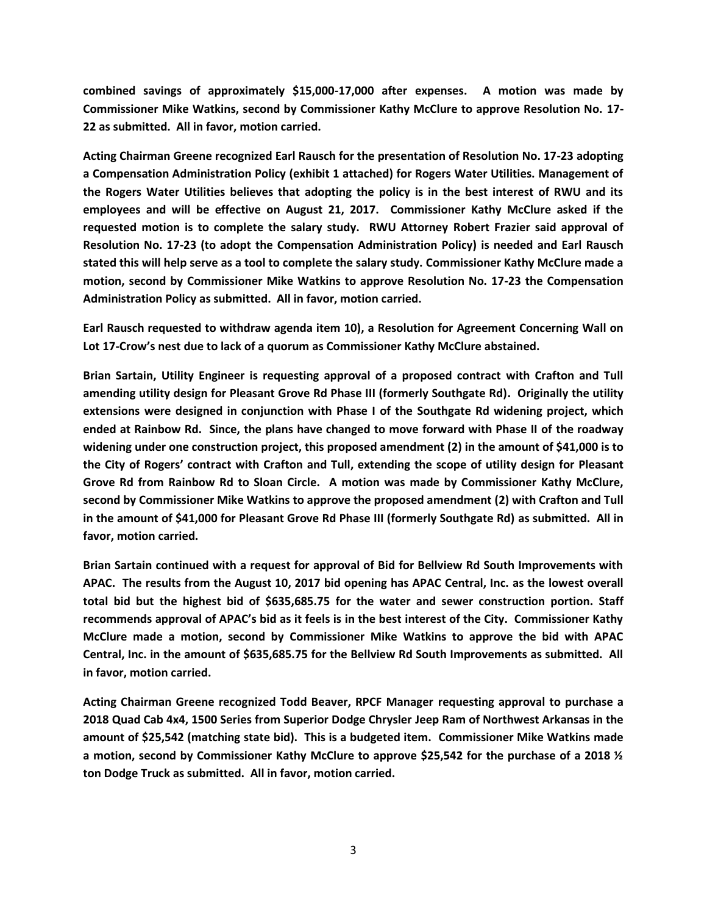**combined savings of approximately \$15,000-17,000 after expenses. A motion was made by Commissioner Mike Watkins, second by Commissioner Kathy McClure to approve Resolution No. 17- 22 as submitted. All in favor, motion carried.**

**Acting Chairman Greene recognized Earl Rausch for the presentation of Resolution No. 17-23 adopting a Compensation Administration Policy (exhibit 1 attached) for Rogers Water Utilities. Management of the Rogers Water Utilities believes that adopting the policy is in the best interest of RWU and its employees and will be effective on August 21, 2017. Commissioner Kathy McClure asked if the requested motion is to complete the salary study. RWU Attorney Robert Frazier said approval of Resolution No. 17-23 (to adopt the Compensation Administration Policy) is needed and Earl Rausch stated this will help serve as a tool to complete the salary study. Commissioner Kathy McClure made a motion, second by Commissioner Mike Watkins to approve Resolution No. 17-23 the Compensation Administration Policy as submitted. All in favor, motion carried.**

**Earl Rausch requested to withdraw agenda item 10), a Resolution for Agreement Concerning Wall on Lot 17-Crow's nest due to lack of a quorum as Commissioner Kathy McClure abstained.**

**Brian Sartain, Utility Engineer is requesting approval of a proposed contract with Crafton and Tull amending utility design for Pleasant Grove Rd Phase III (formerly Southgate Rd). Originally the utility extensions were designed in conjunction with Phase I of the Southgate Rd widening project, which ended at Rainbow Rd. Since, the plans have changed to move forward with Phase II of the roadway widening under one construction project, this proposed amendment (2) in the amount of \$41,000 is to the City of Rogers' contract with Crafton and Tull, extending the scope of utility design for Pleasant Grove Rd from Rainbow Rd to Sloan Circle. A motion was made by Commissioner Kathy McClure, second by Commissioner Mike Watkins to approve the proposed amendment (2) with Crafton and Tull in the amount of \$41,000 for Pleasant Grove Rd Phase III (formerly Southgate Rd) as submitted. All in favor, motion carried.**

**Brian Sartain continued with a request for approval of Bid for Bellview Rd South Improvements with APAC. The results from the August 10, 2017 bid opening has APAC Central, Inc. as the lowest overall total bid but the highest bid of \$635,685.75 for the water and sewer construction portion. Staff recommends approval of APAC's bid as it feels is in the best interest of the City. Commissioner Kathy McClure made a motion, second by Commissioner Mike Watkins to approve the bid with APAC Central, Inc. in the amount of \$635,685.75 for the Bellview Rd South Improvements as submitted. All in favor, motion carried.**

**Acting Chairman Greene recognized Todd Beaver, RPCF Manager requesting approval to purchase a 2018 Quad Cab 4x4, 1500 Series from Superior Dodge Chrysler Jeep Ram of Northwest Arkansas in the amount of \$25,542 (matching state bid). This is a budgeted item. Commissioner Mike Watkins made a motion, second by Commissioner Kathy McClure to approve \$25,542 for the purchase of a 2018 ½ ton Dodge Truck as submitted. All in favor, motion carried.**